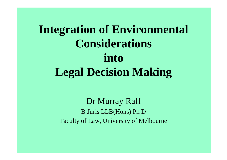# **Integration of Environmental Considerations into Legal Decision Making**

Dr Murray Raff B Juris LLB(Hons) Ph D Faculty of Law, University of Melbourne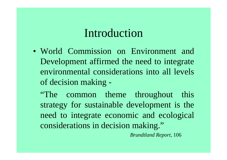### Introduction

• World Commission on Environment andDevelopment affirmed the need to integrate environmental considerations into all levels of decision making -

"The common theme throughout this strategy for sustainable development is the need to integrate economic and ecological considerations in decision making."

*Brundtland Report*, 106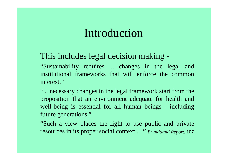### Introduction

#### This includes legal decision making -

"Sustainability requires ... changes in the legal and institutional frameworks that will enforce the commoninterest."

"... necessary changes in the legal framework start from the proposition that an environment adequate for health and well-being is essential for all human beings - including future generations."

"Such a view places the right to use public and private resources in its proper social context …" *Brundtland Report*, <sup>107</sup>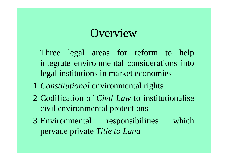## **Overview**

Three legal areas for reform to help integrate environmental considerations into legal institutions in market economies -

- 1 *Constitutional* environmental rights
- 2 Codification of *Civil Law* to institutionalise civil environmental protections
- 3 Environmental responsibilities which pervade private *Title to Land*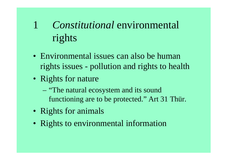#### 1 *Constitutional* environmental rights

- Environmental issues can also be humanrights issues - pollution and rights to health
- Rights for nature
	- "The natural ecosystem and its sound functioning are to be protected." Art 31 Thür.
- Rights for animals
- Rights to environmental information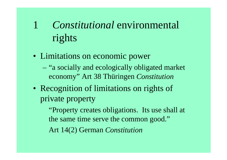#### 1 *Constitutional* environmental rights

- Limitations on economic power
	- "a socially and ecologically obligated market economy" Art 38 Thüringen *Constitution*
- Recognition of limitations on rights of private property

"Property creates obligations. Its use shall at the same time serve the common good."

Art 14(2) German *Constitution*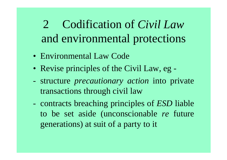2 Codification of *Civil Law* and environmental protections

- Environmental Law Code
- Revise principles of the Civil Law, eg -
- structure *precautionary action* into private transactions through civil law
- contracts breaching principles of *ESD* liable to be set aside (unconscionable *re* future generations) at suit of a party to it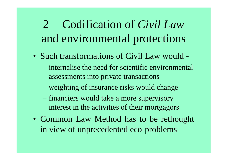## 2 Codification of *Civil Law* and environmental protections

- Such transformations of Civil Law would
	- internalise the need for scientific environmental assessments into private transactions
	- weighting of insurance risks would change
	- financiers would take a more supervisory interest in the activities of their mortgagors
- Common Law Method has to be rethought in view of unprecedented eco-problems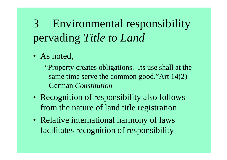• As noted,

 "Property creates obligations. Its use shall at the same time serve the common good."Art 14(2) German *Constitution*

- Recognition of responsibility also follows from the nature of land title registration
- Relative international harmony of laws facilitates recognition of responsibility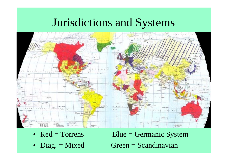### Jurisdictions and Systems



- $Red = Torres$
- Diag.  $=$  Mixed

 $Blue = Germanic System$  $Green = Scandinavian$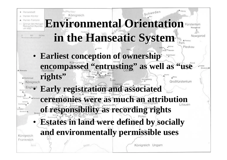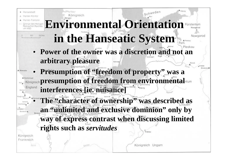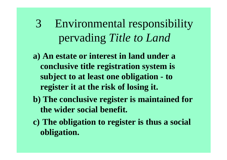- **a) An estate or interest in land under a conclusive title registration system is subject to at least one obligation - to register it at the risk of losing it.**
- **b) The conclusive register is maintained for the wider social benefit.**
- **c) The obligation to register is thus a social obligation.**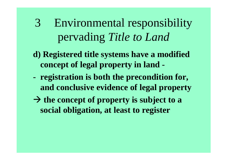- **d) Registered title systems have a modified concept of legal property in land -**
- **registration is both the precondition for, and conclusive evidence of legal property**
- $\rightarrow$  the concept of property is subject to a **social obligation, at least to register**